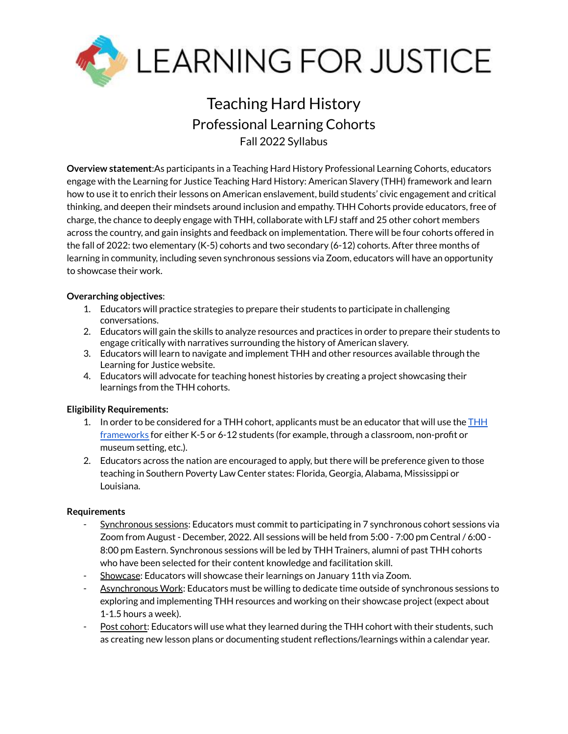

# Teaching Hard History Professional Learning Cohorts Fall 2022 Syllabus

**Overview statement**:As participants in a Teaching Hard History Professional Learning Cohorts, educators engage with the Learning for Justice Teaching Hard History: American Slavery (THH) framework and learn how to use it to enrich their lessons on American enslavement, build students' civic engagement and critical thinking, and deepen their mindsets around inclusion and empathy. THH Cohorts provide educators, free of charge, the chance to deeply engage with THH, collaborate with LFJ staff and 25 other cohort members across the country, and gain insights and feedback on implementation. There will be four cohorts offered in the fall of 2022: two elementary (K-5) cohorts and two secondary (6-12) cohorts. After three months of learning in community, including seven synchronous sessions via Zoom, educators will have an opportunity to showcase their work.

### **Overarching objectives**:

- 1. Educators will practice strategies to prepare their students to participate in challenging conversations.
- 2. Educators will gain the skills to analyze resources and practices in order to prepare their students to engage critically with narratives surrounding the history of American slavery.
- 3. Educators will learn to navigate and implement THH and other resources available through the Learning for Justice website.
- 4. Educators will advocate for teaching honest histories by creating a project showcasing their learnings from the THH cohorts.

#### **Eligibility Requirements:**

- 1. In order to be considered for a [THH](https://www.learningforjustice.org/sites/default/files/2022-05/LFJ-Quick-Reference-Guide-Teaching-Hard-History-K-12-Framework-05232022.pdf) cohort, applicants must be an educator that will use the  $H H$ [frameworks](https://www.learningforjustice.org/sites/default/files/2022-05/LFJ-Quick-Reference-Guide-Teaching-Hard-History-K-12-Framework-05232022.pdf) for either K-5 or 6-12 students (for example, through a classroom, non-profit or museum setting, etc.).
- 2. Educators across the nation are encouraged to apply, but there will be preference given to those teaching in Southern Poverty Law Center states: Florida, Georgia, Alabama, Mississippi or Louisiana.

#### **Requirements**

- Synchronous sessions: Educators must commit to participating in 7 synchronous cohort sessions via Zoom from August - December, 2022. All sessions will be held from 5:00 - 7:00 pm Central / 6:00 - 8:00 pm Eastern. Synchronous sessions will be led by THH Trainers, alumni of past THH cohorts who have been selected for their content knowledge and facilitation skill.
- Showcase: Educators will showcase their learnings on January 11th via Zoom.
- Asynchronous Work: Educators must be willing to dedicate time outside of synchronous sessions to exploring and implementing THH resources and working on their showcase project (expect about 1-1.5 hours a week).
- Post cohort: Educators will use what they learned during the THH cohort with their students, such as creating new lesson plans or documenting student reflections/learnings within a calendar year.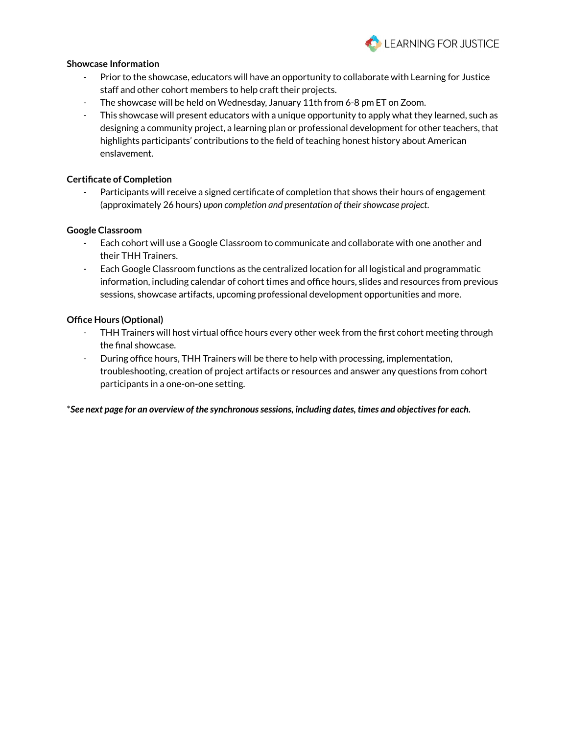

#### **Showcase Information**

- Prior to the showcase, educators will have an opportunity to collaborate with Learning for Justice staff and other cohort members to help craft their projects.
- The showcase will be held on Wednesday, January 11th from 6-8 pm ET on Zoom.
- This showcase will present educators with a unique opportunity to apply what they learned, such as designing a community project, a learning plan or professional development for other teachers, that highlights participants' contributions to the field of teaching honest history about American enslavement.

#### **Certificate of Completion**

- Participants will receive a signed certificate of completion that shows their hours of engagement (approximately 26 hours) *upon completion and presentation of theirshowcase project*.

#### **Google Classroom**

- Each cohort will use a Google Classroom to communicate and collaborate with one another and their THH Trainers.
- Each Google Classroom functions as the centralized location for all logistical and programmatic information, including calendar of cohort times and office hours, slides and resources from previous sessions, showcase artifacts, upcoming professional development opportunities and more.

#### **Office Hours (Optional)**

- THH Trainers will host virtual office hours every other week from the first cohort meeting through the final showcase.
- During office hours, THH Trainers will be there to help with processing, implementation, troubleshooting, creation of project artifacts or resources and answer any questions from cohort participants in a one-on-one setting.

\**See next page for an overview of the synchronoussessions, including dates, times and objectivesfor each.*